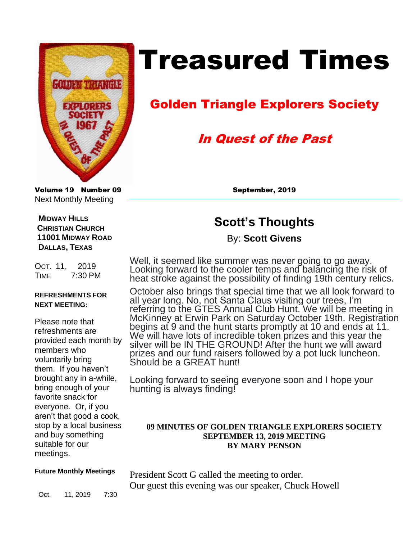

# Treasured Times

# Golden Triangle Explorers Society

# In Quest of the Past

Volume 19 Number 09 September, 2019 Next Monthly Meeting

# **Scott's Thoughts**

## By: **Scott Givens**

Well, it seemed like summer was never going to go away. Looking forward to the cooler temps and balancing the risk of heat stroke against the possibility of finding 19th century relics.

October also brings that special time that we all look forward to all year long. No, not Santa Claus visiting our trees, I'm referring to the GTES Annual Club Hunt. We will be meeting in McKinney at Erwin Park on Saturday October 19th. Registration begins at 9 and the hunt starts promptly at 10 and ends at 11. We will have lots of incredible token prizes and this year the silver will be IN THE GROUND! After the hunt we will award prizes and our fund raisers followed by a pot luck luncheon. Should be a GREAT hunt!

Looking forward to seeing everyone soon and I hope your hunting is always finding!

### **09 MINUTES OF GOLDEN TRIANGLE EXPLORERS SOCIETY SEPTEMBER 13, 2019 MEETING BY MARY PENSON**

### **Future Monthly Meetings**

President Scott G called the meeting to order. Our guest this evening was our speaker, Chuck Howell

Oct. 11, 2019 7:30

OCT. 11, 2019 TIME 7:30 PM

 **MIDWAY HILLS CHRISTIAN CHURCH 11001 MIDWAY ROAD** 

 **DALLAS, TEXAS**

### **REFRESHMENTS FOR NEXT MEETING:**

Please note that refreshments are provided each month by members who voluntarily bring them. If you haven't brought any in a-while, bring enough of your favorite snack for everyone. Or, if you aren't that good a cook, stop by a local business and buy something suitable for our meetings.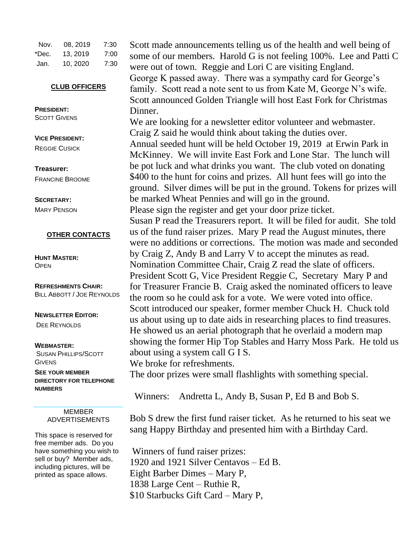| Nov.  | 08, 2019 | 7:30 |
|-------|----------|------|
| *Dec. | 13, 2019 | 7:00 |
| Jan.  | 10, 2020 | 7:30 |

#### **CLUB OFFICERS**

**PRESIDENT: SCOTT GIVENS** 

**VICE PRESIDENT:**  REGGIE CUSICK

**Treasurer:**  FRANCINE BROOME

**SECRETARY:**  MARY PENSON

#### **OTHER CONTACTS**

**HUNT MASTER: OPEN** 

**REFRESHMENTS CHAIR:** BILL ABBOTT / JOE REYNOLDS

**NEWSLETTER EDITOR:**  DEE REYNOLDS

#### **WEBMASTER:**

SUSAN PHILLIPS/SCOTT **GIVENS** 

**SEE YOUR MEMBER DIRECTORY FOR TELEPHONE NUMBERS**

> MEMBER ADVERTISEMENTS

This space is reserved for free member ads. Do you have something you wish to sell or buy? Member ads, including pictures, will be printed as space allows.

Scott made announcements telling us of the health and well being of some of our members. Harold G is not feeling 100%. Lee and Patti C were out of town. Reggie and Lori C are visiting England. George K passed away. There was a sympathy card for George's family. Scott read a note sent to us from Kate M, George N's wife. Scott announced Golden Triangle will host East Fork for Christmas Dinner.

We are looking for a newsletter editor volunteer and webmaster. Craig Z said he would think about taking the duties over. Annual seeded hunt will be held October 19, 2019 at Erwin Park in McKinney. We will invite East Fork and Lone Star. The lunch will be pot luck and what drinks you want. The club voted on donating \$400 to the hunt for coins and prizes. All hunt fees will go into the ground. Silver dimes will be put in the ground. Tokens for prizes will be marked Wheat Pennies and will go in the ground. Please sign the register and get your door prize ticket. Susan P read the Treasurers report. It will be filed for audit. She told us of the fund raiser prizes. Mary P read the August minutes, there were no additions or corrections. The motion was made and seconded by Craig Z, Andy B and Larry V to accept the minutes as read. Nomination Committee Chair, Craig Z read the slate of officers. President Scott G, Vice President Reggie C, Secretary Mary P and for Treasurer Francie B. Craig asked the nominated officers to leave the room so he could ask for a vote. We were voted into office. Scott introduced our speaker, former member Chuck H. Chuck told us about using up to date aids in researching places to find treasures. He showed us an aerial photograph that he overlaid a modern map showing the former Hip Top Stables and Harry Moss Park. He told us about using a system call G I S.

We broke for refreshments.

The door prizes were small flashlights with something special.

Winners: Andretta L, Andy B, Susan P, Ed B and Bob S.

Bob S drew the first fund raiser ticket. As he returned to his seat we sang Happy Birthday and presented him with a Birthday Card.

Winners of fund raiser prizes: 1920 and 1921 Silver Centavos – Ed B. Eight Barber Dimes – Mary P, 1838 Large Cent – Ruthie R, \$10 Starbucks Gift Card – Mary P,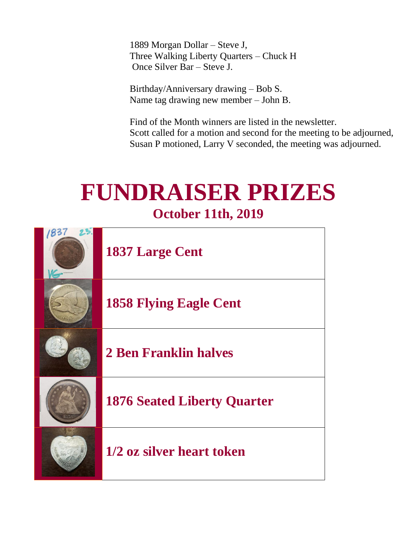1889 Morgan Dollar – Steve J, Three Walking Liberty Quarters – Chuck H Once Silver Bar – Steve J.

Birthday/Anniversary drawing – Bob S. Name tag drawing new member – John B.

Find of the Month winners are listed in the newsletter. Scott called for a motion and second for the meeting to be adjourned, Susan P motioned, Larry V seconded, the meeting was adjourned.

# **FUNDRAISER PRIZES October 11th, 2019**

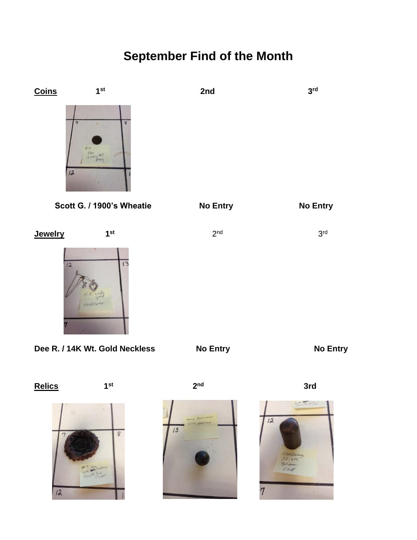# **September Find of the Month**







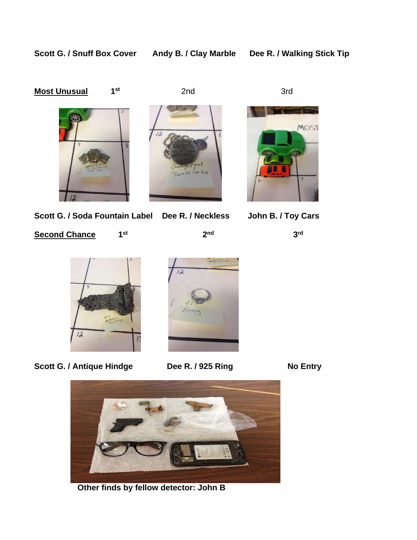Scott G. / Snuff Box Cover Andy B. / Clay Marble Dee R. / Walking Stick Tip

#### **Most Unusual st**

**2nd** 3rd







MOST

**Scott G. / Soda Fountain Label Dee R. / Neckless John B. / Toy Cars** 

**Second Chance st**

**2** 2<sup>nd</sup>

**3 3 3** 3<sup>rd</sup>



Scott G. / Antique Hindge Dee R. / 925 Ring No Entry





 **Other finds by fellow detector: John B**